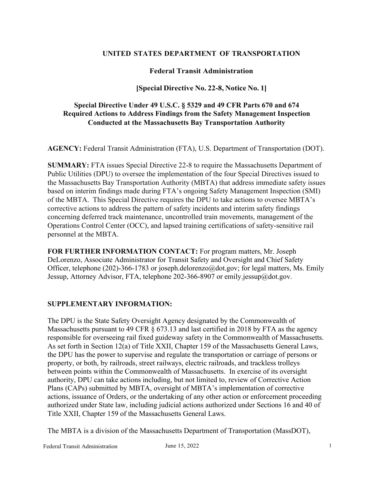#### **UNITED STATES DEPARTMENT OF TRANSPORTATION**

## **Federal Transit Administration**

## **[Special Directive No. 22-8, Notice No. 1]**

## **Special Directive Under 49 U.S.C. § 5329 and 49 CFR Parts 670 and 674 Required Actions to Address Findings from the Safety Management Inspection Conducted at the Massachusetts Bay Transportation Authority**

**AGENCY:** Federal Transit Administration (FTA), U.S. Department of Transportation (DOT).

**SUMMARY:** FTA issues Special Directive 22-8 to require the Massachusetts Department of Public Utilities (DPU) to oversee the implementation of the four Special Directives issued to the Massachusetts Bay Transportation Authority (MBTA) that address immediate safety issues based on interim findings made during FTA's ongoing Safety Management Inspection (SMI) of the MBTA. This Special Directive requires the DPU to take actions to oversee MBTA's corrective actions to address the pattern of safety incidents and interim safety findings concerning deferred track maintenance, uncontrolled train movements, management of the Operations Control Center (OCC), and lapsed training certifications of safety-sensitive rail personnel at the MBTA.

**FOR FURTHER INFORMATION CONTACT:** For program matters, Mr. Joseph DeLorenzo, Associate Administrator for Transit Safety and Oversight and Chief Safety Officer, telephone (202)-366-1783 or joseph.delorenzo@dot.gov; for legal matters, Ms. Emily Jessup, Attorney Advisor, FTA, telephone 202-366-8907 or emily.jessup@dot.gov.

#### **SUPPLEMENTARY INFORMATION:**

The DPU is the State Safety Oversight Agency designated by the Commonwealth of Massachusetts pursuant to 49 CFR § 673.13 and last certified in 2018 by FTA as the agency responsible for overseeing rail fixed guideway safety in the Commonwealth of Massachusetts. As set forth in Section 12(a) of Title XXII, Chapter 159 of the Massachusetts General Laws, the DPU has the power to supervise and regulate the transportation or carriage of persons or property, or both, by railroads, street railways, electric railroads, and trackless trolleys between points within the Commonwealth of Massachusetts. In exercise of its oversight authority, DPU can take actions including, but not limited to, review of Corrective Action Plans (CAPs) submitted by MBTA, oversight of MBTA's implementation of corrective actions, issuance of Orders, or the undertaking of any other action or enforcement proceeding authorized under State law, including judicial actions authorized under Sections 16 and 40 of Title XXII, Chapter 159 of the Massachusetts General Laws.

The MBTA is a division of the Massachusetts Department of Transportation (MassDOT),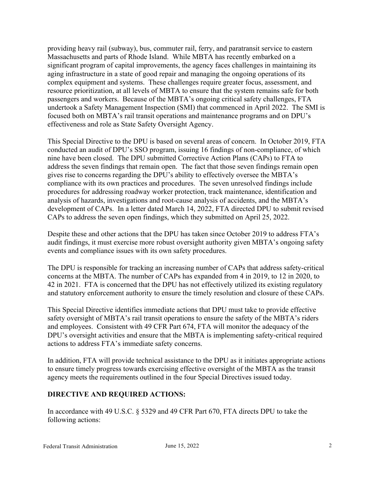providing heavy rail (subway), bus, commuter rail, ferry, and paratransit service to eastern Massachusetts and parts of Rhode Island. While MBTA has recently embarked on a significant program of capital improvements, the agency faces challenges in maintaining its aging infrastructure in a state of good repair and managing the ongoing operations of its complex equipment and systems. These challenges require greater focus, assessment, and resource prioritization, at all levels of MBTA to ensure that the system remains safe for both passengers and workers. Because of the MBTA's ongoing critical safety challenges, FTA undertook a Safety Management Inspection (SMI) that commenced in April 2022. The SMI is focused both on MBTA's rail transit operations and maintenance programs and on DPU's effectiveness and role as State Safety Oversight Agency.

This Special Directive to the DPU is based on several areas of concern. In October 2019, FTA conducted an audit of DPU's SSO program, issuing 16 findings of non-compliance, of which nine have been closed. The DPU submitted Corrective Action Plans (CAPs) to FTA to address the seven findings that remain open. The fact that those seven findings remain open gives rise to concerns regarding the DPU's ability to effectively oversee the MBTA's compliance with its own practices and procedures. The seven unresolved findings include procedures for addressing roadway worker protection, track maintenance, identification and analysis of hazards, investigations and root-cause analysis of accidents, and the MBTA's development of CAPs. In a letter dated March 14, 2022, FTA directed DPU to submit revised CAPs to address the seven open findings, which they submitted on April 25, 2022.

Despite these and other actions that the DPU has taken since October 2019 to address FTA's audit findings, it must exercise more robust oversight authority given MBTA's ongoing safety events and compliance issues with its own safety procedures.

The DPU is responsible for tracking an increasing number of CAPs that address safety-critical concerns at the MBTA. The number of CAPs has expanded from 4 in 2019, to 12 in 2020, to 42 in 2021. FTA is concerned that the DPU has not effectively utilized its existing regulatory and statutory enforcement authority to ensure the timely resolution and closure of these CAPs.

This Special Directive identifies immediate actions that DPU must take to provide effective safety oversight of MBTA's rail transit operations to ensure the safety of the MBTA's riders and employees. Consistent with 49 CFR Part 674, FTA will monitor the adequacy of the DPU's oversight activities and ensure that the MBTA is implementing safety-critical required actions to address FTA's immediate safety concerns.

In addition, FTA will provide technical assistance to the DPU as it initiates appropriate actions to ensure timely progress towards exercising effective oversight of the MBTA as the transit agency meets the requirements outlined in the four Special Directives issued today.

# **DIRECTIVE AND REQUIRED ACTIONS:**

In accordance with 49 U.S.C. § 5329 and 49 CFR Part 670, FTA directs DPU to take the following actions: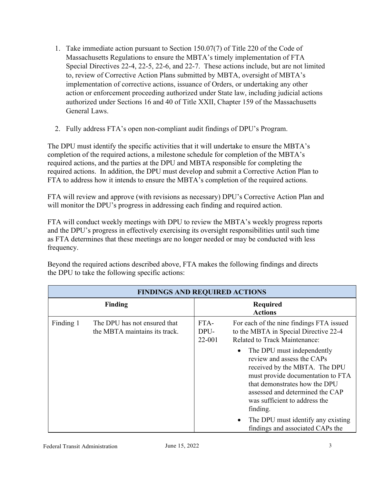- 1. Take immediate action pursuant to Section 150.07(7) of Title 220 of the Code of Massachusetts Regulations to ensure the MBTA's timely implementation of FTA Special Directives 22-4, 22-5, 22-6, and 22-7. These actions include, but are not limited to, review of Corrective Action Plans submitted by MBTA, oversight of MBTA's implementation of corrective actions, issuance of Orders, or undertaking any other action or enforcement proceeding authorized under State law, including judicial actions authorized under Sections 16 and 40 of Title XXII, Chapter 159 of the Massachusetts General Laws.
- 2. Fully address FTA's open non-compliant audit findings of DPU's Program.

The DPU must identify the specific activities that it will undertake to ensure the MBTA's completion of the required actions, a milestone schedule for completion of the MBTA's required actions, and the parties at the DPU and MBTA responsible for completing the required actions. In addition, the DPU must develop and submit a Corrective Action Plan to FTA to address how it intends to ensure the MBTA's completion of the required actions.

FTA will review and approve (with revisions as necessary) DPU's Corrective Action Plan and will monitor the DPU's progress in addressing each finding and required action.

FTA will conduct weekly meetings with DPU to review the MBTA's weekly progress reports and the DPU's progress in effectively exercising its oversight responsibilities until such time as FTA determines that these meetings are no longer needed or may be conducted with less frequency.

Beyond the required actions described above, FTA makes the following findings and directs the DPU to take the following specific actions:

| <b>FINDINGS AND REQUIRED ACTIONS</b> |                                                               |                        |                                                                                                                                                                                                                                                      |  |
|--------------------------------------|---------------------------------------------------------------|------------------------|------------------------------------------------------------------------------------------------------------------------------------------------------------------------------------------------------------------------------------------------------|--|
|                                      | <b>Finding</b>                                                |                        | <b>Required</b><br><b>Actions</b>                                                                                                                                                                                                                    |  |
| Finding 1                            | The DPU has not ensured that<br>the MBTA maintains its track. | FTA-<br>DPU-<br>22-001 | For each of the nine findings FTA issued<br>to the MBTA in Special Directive 22-4<br><b>Related to Track Maintenance:</b>                                                                                                                            |  |
|                                      |                                                               |                        | The DPU must independently<br>٠<br>review and assess the CAPs<br>received by the MBTA. The DPU<br>must provide documentation to FTA<br>that demonstrates how the DPU<br>assessed and determined the CAP<br>was sufficient to address the<br>finding. |  |
|                                      |                                                               |                        | The DPU must identify any existing<br>$\bullet$<br>findings and associated CAPs the                                                                                                                                                                  |  |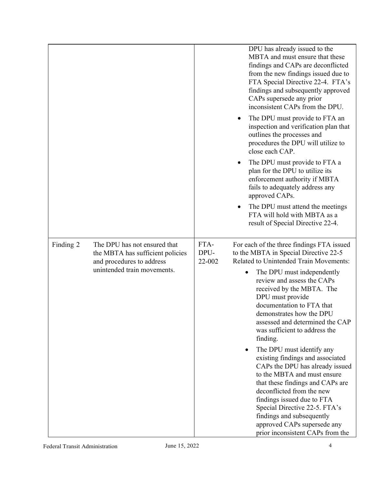|           |                                                                                                                              |                        | DPU has already issued to the<br>MBTA and must ensure that these<br>findings and CAPs are deconflicted<br>from the new findings issued due to<br>FTA Special Directive 22-4. FTA's<br>findings and subsequently approved<br>CAPs supersede any prior<br>inconsistent CAPs from the DPU.<br>The DPU must provide to FTA an<br>$\bullet$<br>inspection and verification plan that<br>outlines the processes and<br>procedures the DPU will utilize to<br>close each CAP. |
|-----------|------------------------------------------------------------------------------------------------------------------------------|------------------------|------------------------------------------------------------------------------------------------------------------------------------------------------------------------------------------------------------------------------------------------------------------------------------------------------------------------------------------------------------------------------------------------------------------------------------------------------------------------|
|           |                                                                                                                              |                        | The DPU must provide to FTA a<br>plan for the DPU to utilize its<br>enforcement authority if MBTA<br>fails to adequately address any<br>approved CAPs.                                                                                                                                                                                                                                                                                                                 |
|           |                                                                                                                              |                        | The DPU must attend the meetings<br>FTA will hold with MBTA as a<br>result of Special Directive 22-4.                                                                                                                                                                                                                                                                                                                                                                  |
| Finding 2 | The DPU has not ensured that<br>the MBTA has sufficient policies<br>and procedures to address<br>unintended train movements. | FTA-<br>DPU-<br>22-002 | For each of the three findings FTA issued<br>to the MBTA in Special Directive 22-5<br>Related to Unintended Train Movements:<br>The DPU must independently<br>$\bullet$<br>review and assess the CAPs<br>received by the MBTA. The<br>DPU must provide<br>documentation to FTA that<br>demonstrates how the DPU                                                                                                                                                        |
|           |                                                                                                                              |                        | assessed and determined the CAP<br>was sufficient to address the<br>finding.<br>The DPU must identify any                                                                                                                                                                                                                                                                                                                                                              |
|           |                                                                                                                              |                        | existing findings and associated<br>CAPs the DPU has already issued<br>to the MBTA and must ensure<br>that these findings and CAPs are<br>deconflicted from the new<br>findings issued due to FTA<br>Special Directive 22-5. FTA's<br>findings and subsequently<br>approved CAPs supersede any<br>prior inconsistent CAPs from the                                                                                                                                     |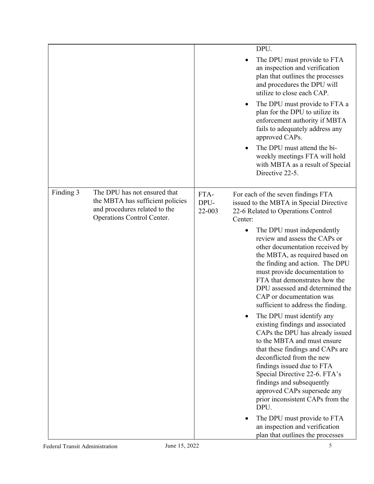|           |                                                                                                                                 |                        | DPU.                                                                                                                                                                                                                                                                                                                                                                    |
|-----------|---------------------------------------------------------------------------------------------------------------------------------|------------------------|-------------------------------------------------------------------------------------------------------------------------------------------------------------------------------------------------------------------------------------------------------------------------------------------------------------------------------------------------------------------------|
|           |                                                                                                                                 |                        | The DPU must provide to FTA<br>an inspection and verification<br>plan that outlines the processes<br>and procedures the DPU will<br>utilize to close each CAP.                                                                                                                                                                                                          |
|           |                                                                                                                                 |                        | The DPU must provide to FTA a<br>$\bullet$<br>plan for the DPU to utilize its<br>enforcement authority if MBTA<br>fails to adequately address any<br>approved CAPs.                                                                                                                                                                                                     |
|           |                                                                                                                                 |                        | The DPU must attend the bi-<br>weekly meetings FTA will hold<br>with MBTA as a result of Special<br>Directive 22-5.                                                                                                                                                                                                                                                     |
| Finding 3 | The DPU has not ensured that<br>the MBTA has sufficient policies<br>and procedures related to the<br>Operations Control Center. | FTA-<br>DPU-<br>22-003 | For each of the seven findings FTA<br>issued to the MBTA in Special Directive<br>22-6 Related to Operations Control<br>Center:                                                                                                                                                                                                                                          |
|           |                                                                                                                                 |                        | The DPU must independently<br>$\bullet$<br>review and assess the CAPs or<br>other documentation received by<br>the MBTA, as required based on<br>the finding and action. The DPU<br>must provide documentation to<br>FTA that demonstrates how the<br>DPU assessed and determined the<br>CAP or documentation was<br>sufficient to address the finding.                 |
|           |                                                                                                                                 |                        | The DPU must identify any<br>existing findings and associated<br>CAPs the DPU has already issued<br>to the MBTA and must ensure<br>that these findings and CAPs are<br>deconflicted from the new<br>findings issued due to FTA<br>Special Directive 22-6. FTA's<br>findings and subsequently<br>approved CAPs supersede any<br>prior inconsistent CAPs from the<br>DPU. |
|           |                                                                                                                                 |                        | The DPU must provide to FTA<br>$\bullet$<br>an inspection and verification<br>plan that outlines the processes                                                                                                                                                                                                                                                          |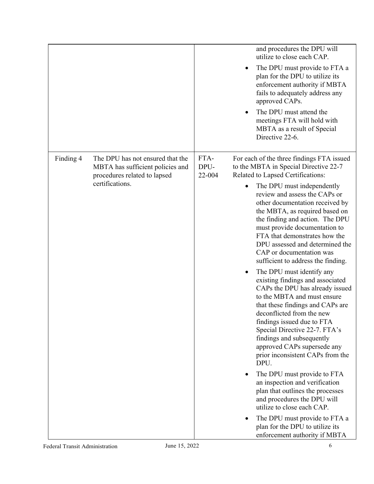|           |                                                                                                      |                        | and procedures the DPU will<br>utilize to close each CAP.                                                                                                                                                                                                                                                                                                               |
|-----------|------------------------------------------------------------------------------------------------------|------------------------|-------------------------------------------------------------------------------------------------------------------------------------------------------------------------------------------------------------------------------------------------------------------------------------------------------------------------------------------------------------------------|
|           |                                                                                                      |                        | The DPU must provide to FTA a<br>plan for the DPU to utilize its<br>enforcement authority if MBTA<br>fails to adequately address any<br>approved CAPs.                                                                                                                                                                                                                  |
|           |                                                                                                      |                        | The DPU must attend the<br>meetings FTA will hold with<br>MBTA as a result of Special<br>Directive 22-6.                                                                                                                                                                                                                                                                |
| Finding 4 | The DPU has not ensured that the<br>MBTA has sufficient policies and<br>procedures related to lapsed | FTA-<br>DPU-<br>22-004 | For each of the three findings FTA issued<br>to the MBTA in Special Directive 22-7<br>Related to Lapsed Certifications:                                                                                                                                                                                                                                                 |
|           | certifications.                                                                                      |                        | The DPU must independently<br>$\bullet$<br>review and assess the CAPs or<br>other documentation received by<br>the MBTA, as required based on<br>the finding and action. The DPU<br>must provide documentation to<br>FTA that demonstrates how the<br>DPU assessed and determined the<br>CAP or documentation was<br>sufficient to address the finding.                 |
|           |                                                                                                      |                        | The DPU must identify any<br>existing findings and associated<br>CAPs the DPU has already issued<br>to the MBTA and must ensure<br>that these findings and CAPs are<br>deconflicted from the new<br>findings issued due to FTA<br>Special Directive 22-7. FTA's<br>findings and subsequently<br>approved CAPs supersede any<br>prior inconsistent CAPs from the<br>DPU. |
|           |                                                                                                      |                        | The DPU must provide to FTA<br>an inspection and verification<br>plan that outlines the processes<br>and procedures the DPU will<br>utilize to close each CAP.                                                                                                                                                                                                          |
|           |                                                                                                      |                        | The DPU must provide to FTA a<br>plan for the DPU to utilize its<br>enforcement authority if MBTA                                                                                                                                                                                                                                                                       |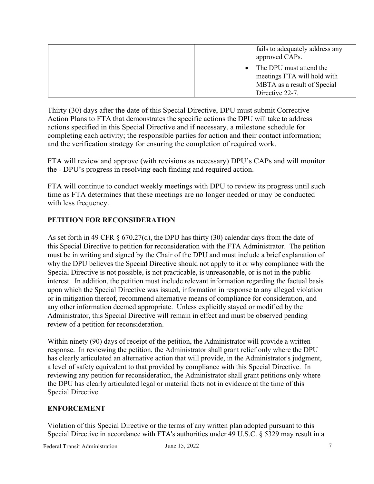| fails to adequately address any<br>approved CAPs.                                       |
|-----------------------------------------------------------------------------------------|
| • The DPU must attend the<br>meetings FTA will hold with<br>MBTA as a result of Special |
| Directive 22-7.                                                                         |

Thirty (30) days after the date of this Special Directive, DPU must submit Corrective Action Plans to FTA that demonstrates the specific actions the DPU will take to address actions specified in this Special Directive and if necessary, a milestone schedule for completing each activity; the responsible parties for action and their contact information; and the verification strategy for ensuring the completion of required work.

FTA will review and approve (with revisions as necessary) DPU's CAPs and will monitor the - DPU's progress in resolving each finding and required action.

FTA will continue to conduct weekly meetings with DPU to review its progress until such time as FTA determines that these meetings are no longer needed or may be conducted with less frequency.

#### **PETITION FOR RECONSIDERATION**

As set forth in 49 CFR § 670.27(d), the DPU has thirty (30) calendar days from the date of this Special Directive to petition for reconsideration with the FTA Administrator. The petition must be in writing and signed by the Chair of the DPU and must include a brief explanation of why the DPU believes the Special Directive should not apply to it or why compliance with the Special Directive is not possible, is not practicable, is unreasonable, or is not in the public interest. In addition, the petition must include relevant information regarding the factual basis upon which the Special Directive was issued, information in response to any alleged violation or in mitigation thereof, recommend alternative means of compliance for consideration, and any other information deemed appropriate. Unless explicitly stayed or modified by the Administrator, this Special Directive will remain in effect and must be observed pending review of a petition for reconsideration. 

Within ninety (90) days of receipt of the petition, the Administrator will provide a written response. In reviewing the petition, the Administrator shall grant relief only where the DPU has clearly articulated an alternative action that will provide, in the Administrator's judgment, a level of safety equivalent to that provided by compliance with this Special Directive. In reviewing any petition for reconsideration, the Administrator shall grant petitions only where the DPU has clearly articulated legal or material facts not in evidence at the time of this Special Directive.

#### **ENFORCEMENT**

Violation of this Special Directive or the terms of any written plan adopted pursuant to this Special Directive in accordance with FTA's authorities under 49 U.S.C. § 5329 may result in a